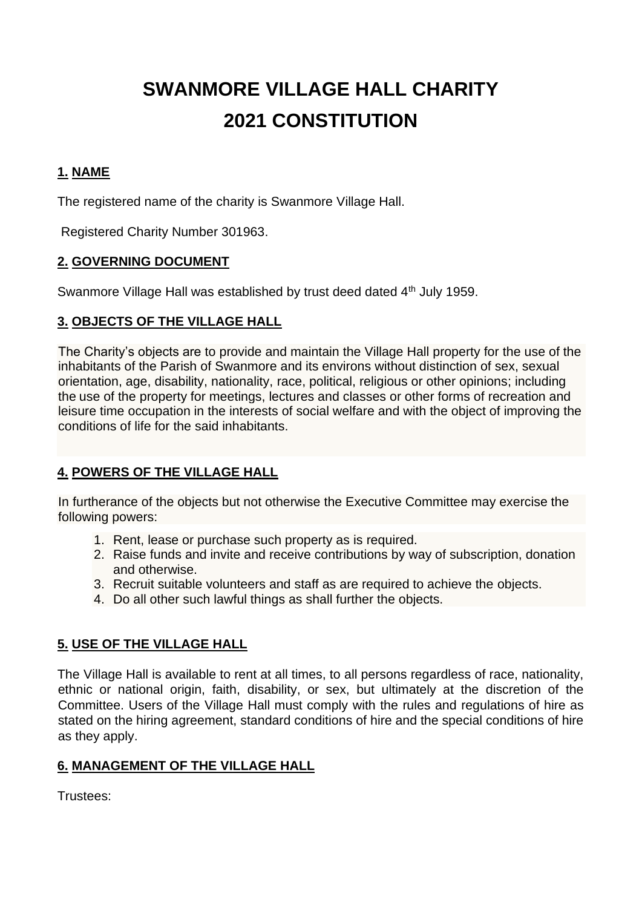# **SWANMORE VILLAGE HALL CHARITY 2021 CONSTITUTION**

## **1. NAME**

The registered name of the charity is Swanmore Village Hall.

Registered Charity Number 301963.

## **2. GOVERNING DOCUMENT**

Swanmore Village Hall was established by trust deed dated 4<sup>th</sup> July 1959.

## **3. OBJECTS OF THE VILLAGE HALL**

The Charity's objects are to provide and maintain the Village Hall property for the use of the inhabitants of the Parish of Swanmore and its environs without distinction of sex, sexual orientation, age, disability, nationality, race, political, religious or other opinions; including the use of the property for meetings, lectures and classes or other forms of recreation and leisure time occupation in the interests of social welfare and with the object of improving the conditions of life for the said inhabitants.

## **4. POWERS OF THE VILLAGE HALL**

In furtherance of the objects but not otherwise the Executive Committee may exercise the following powers:

- 1. Rent, lease or purchase such property as is required.
- 2. Raise funds and invite and receive contributions by way of subscription, donation and otherwise.
- 3. Recruit suitable volunteers and staff as are required to achieve the objects.
- 4. Do all other such lawful things as shall further the objects.

## **5. USE OF THE VILLAGE HALL**

The Village Hall is available to rent at all times, to all persons regardless of race, nationality, ethnic or national origin, faith, disability, or sex, but ultimately at the discretion of the Committee. Users of the Village Hall must comply with the rules and regulations of hire as stated on the hiring agreement, standard conditions of hire and the special conditions of hire as they apply.

## **6. MANAGEMENT OF THE VILLAGE HALL**

Trustees: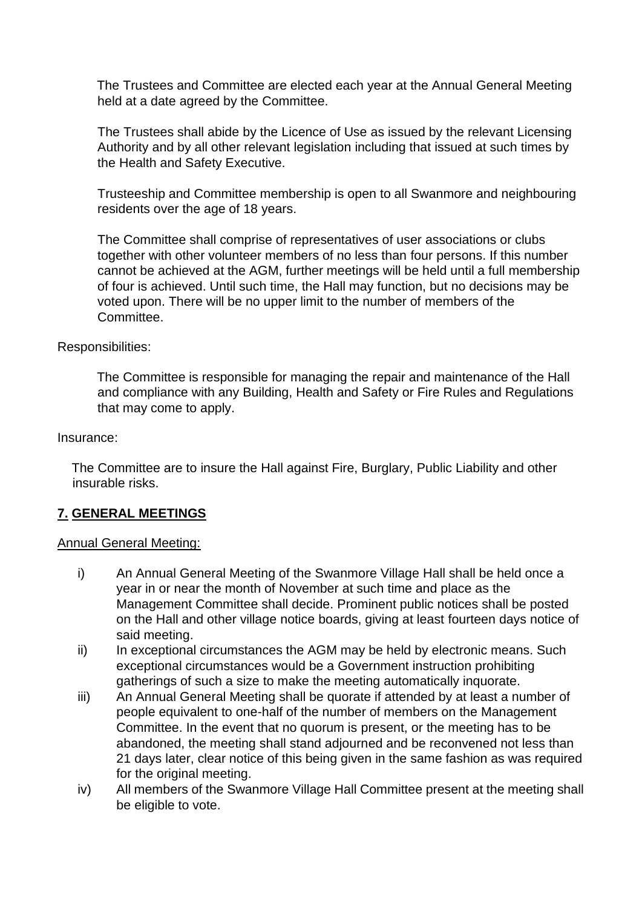The Trustees and Committee are elected each year at the Annual General Meeting held at a date agreed by the Committee.

The Trustees shall abide by the Licence of Use as issued by the relevant Licensing Authority and by all other relevant legislation including that issued at such times by the Health and Safety Executive.

Trusteeship and Committee membership is open to all Swanmore and neighbouring residents over the age of 18 years.

The Committee shall comprise of representatives of user associations or clubs together with other volunteer members of no less than four persons. If this number cannot be achieved at the AGM, further meetings will be held until a full membership of four is achieved. Until such time, the Hall may function, but no decisions may be voted upon. There will be no upper limit to the number of members of the Committee.

#### Responsibilities:

The Committee is responsible for managing the repair and maintenance of the Hall and compliance with any Building, Health and Safety or Fire Rules and Regulations that may come to apply.

#### Insurance:

The Committee are to insure the Hall against Fire, Burglary, Public Liability and other insurable risks.

#### **7. GENERAL MEETINGS**

#### Annual General Meeting:

- i) An Annual General Meeting of the Swanmore Village Hall shall be held once a year in or near the month of November at such time and place as the Management Committee shall decide. Prominent public notices shall be posted on the Hall and other village notice boards, giving at least fourteen days notice of said meeting.
- ii) In exceptional circumstances the AGM may be held by electronic means. Such exceptional circumstances would be a Government instruction prohibiting gatherings of such a size to make the meeting automatically inquorate.
- iii) An Annual General Meeting shall be quorate if attended by at least a number of people equivalent to one-half of the number of members on the Management Committee. In the event that no quorum is present, or the meeting has to be abandoned, the meeting shall stand adjourned and be reconvened not less than 21 days later, clear notice of this being given in the same fashion as was required for the original meeting.
- iv) All members of the Swanmore Village Hall Committee present at the meeting shall be eligible to vote.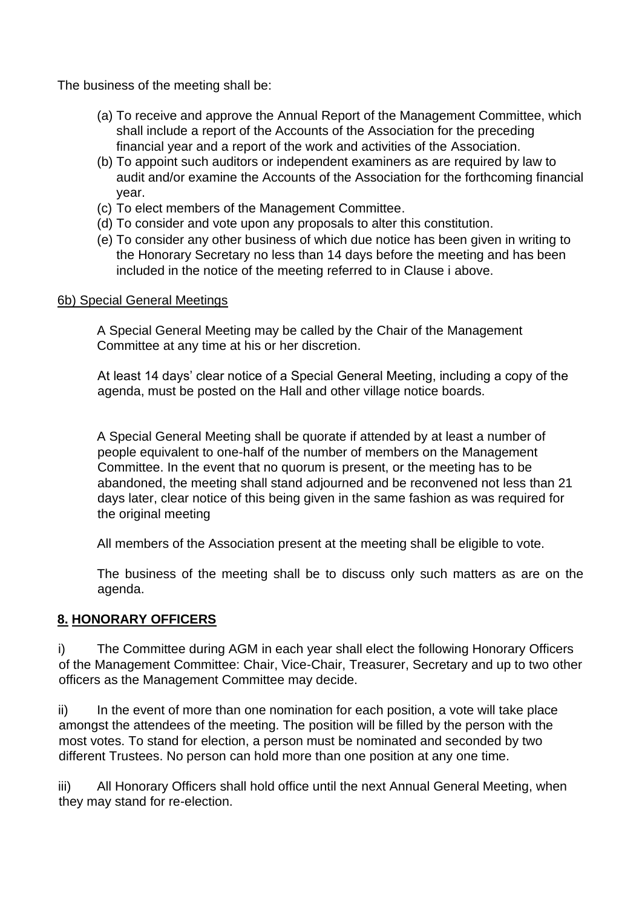The business of the meeting shall be:

- (a) To receive and approve the Annual Report of the Management Committee, which shall include a report of the Accounts of the Association for the preceding financial year and a report of the work and activities of the Association.
- (b) To appoint such auditors or independent examiners as are required by law to audit and/or examine the Accounts of the Association for the forthcoming financial year.
- (c) To elect members of the Management Committee.
- (d) To consider and vote upon any proposals to alter this constitution.
- (e) To consider any other business of which due notice has been given in writing to the Honorary Secretary no less than 14 days before the meeting and has been included in the notice of the meeting referred to in Clause i above.

#### 6b) Special General Meetings

A Special General Meeting may be called by the Chair of the Management Committee at any time at his or her discretion.

At least 14 days' clear notice of a Special General Meeting, including a copy of the agenda, must be posted on the Hall and other village notice boards.

A Special General Meeting shall be quorate if attended by at least a number of people equivalent to one-half of the number of members on the Management Committee. In the event that no quorum is present, or the meeting has to be abandoned, the meeting shall stand adjourned and be reconvened not less than 21 days later, clear notice of this being given in the same fashion as was required for the original meeting

All members of the Association present at the meeting shall be eligible to vote.

The business of the meeting shall be to discuss only such matters as are on the agenda.

#### **8. HONORARY OFFICERS**

i) The Committee during AGM in each year shall elect the following Honorary Officers of the Management Committee: Chair, Vice-Chair, Treasurer, Secretary and up to two other officers as the Management Committee may decide.

ii) In the event of more than one nomination for each position, a vote will take place amongst the attendees of the meeting. The position will be filled by the person with the most votes. To stand for election, a person must be nominated and seconded by two different Trustees. No person can hold more than one position at any one time.

iii) All Honorary Officers shall hold office until the next Annual General Meeting, when they may stand for re-election.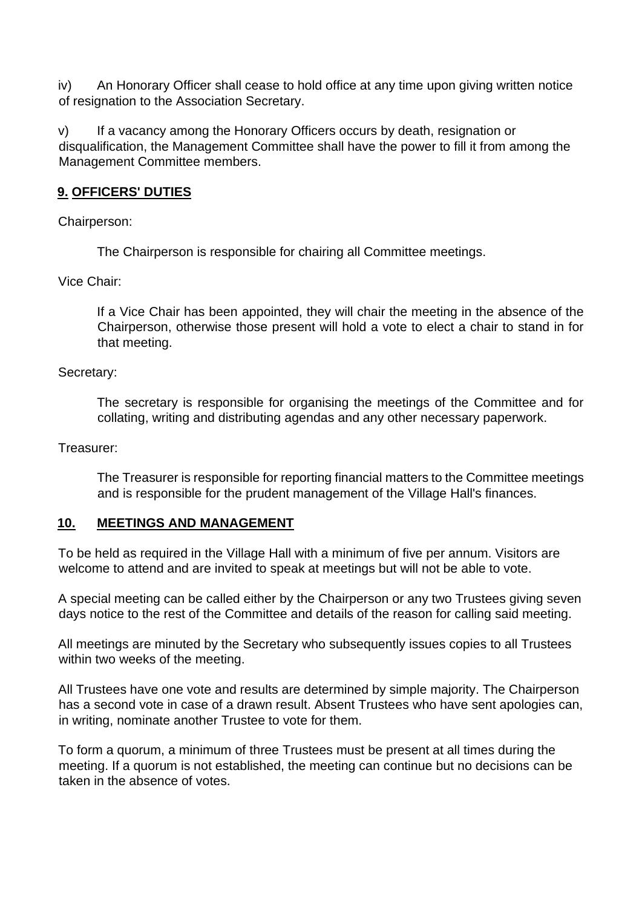iv) An Honorary Officer shall cease to hold office at any time upon giving written notice of resignation to the Association Secretary.

v) If a vacancy among the Honorary Officers occurs by death, resignation or disqualification, the Management Committee shall have the power to fill it from among the Management Committee members.

## **9. OFFICERS' DUTIES**

Chairperson:

The Chairperson is responsible for chairing all Committee meetings.

Vice Chair:

If a Vice Chair has been appointed, they will chair the meeting in the absence of the Chairperson, otherwise those present will hold a vote to elect a chair to stand in for that meeting.

## Secretary:

The secretary is responsible for organising the meetings of the Committee and for collating, writing and distributing agendas and any other necessary paperwork.

## Treasurer:

The Treasurer is responsible for reporting financial matters to the Committee meetings and is responsible for the prudent management of the Village Hall's finances.

## **10. MEETINGS AND MANAGEMENT**

To be held as required in the Village Hall with a minimum of five per annum. Visitors are welcome to attend and are invited to speak at meetings but will not be able to vote.

A special meeting can be called either by the Chairperson or any two Trustees giving seven days notice to the rest of the Committee and details of the reason for calling said meeting.

All meetings are minuted by the Secretary who subsequently issues copies to all Trustees within two weeks of the meeting.

All Trustees have one vote and results are determined by simple majority. The Chairperson has a second vote in case of a drawn result. Absent Trustees who have sent apologies can, in writing, nominate another Trustee to vote for them.

To form a quorum, a minimum of three Trustees must be present at all times during the meeting. If a quorum is not established, the meeting can continue but no decisions can be taken in the absence of votes.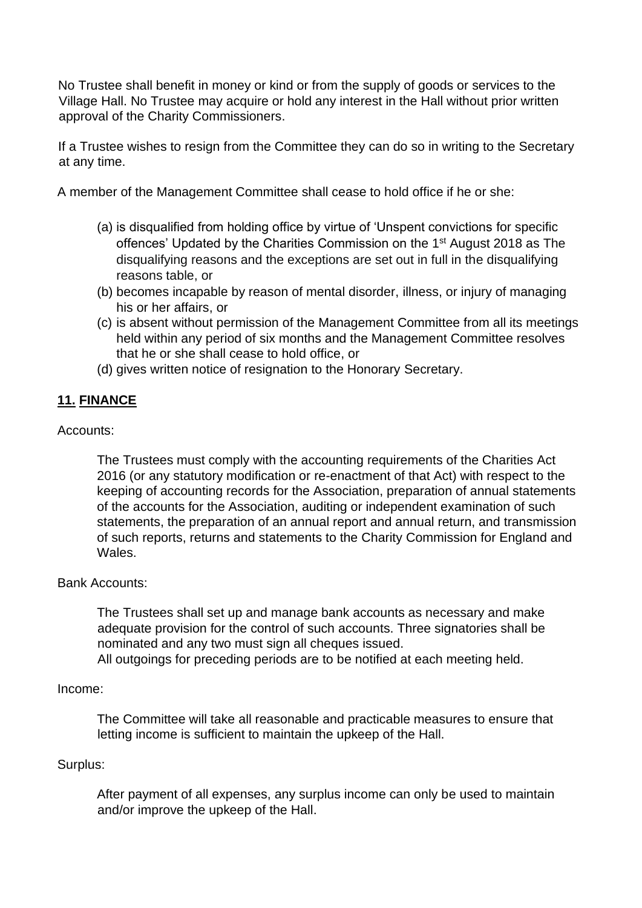No Trustee shall benefit in money or kind or from the supply of goods or services to the Village Hall. No Trustee may acquire or hold any interest in the Hall without prior written approval of the Charity Commissioners.

If a Trustee wishes to resign from the Committee they can do so in writing to the Secretary at any time.

A member of the Management Committee shall cease to hold office if he or she:

- (a) is disqualified from holding office by virtue of 'Unspent convictions for specific offences' Updated by the Charities Commission on the 1<sup>st</sup> August 2018 as The disqualifying reasons and the exceptions are set out in full in the disqualifying reasons table, or
- (b) becomes incapable by reason of mental disorder, illness, or injury of managing his or her affairs, or
- (c) is absent without permission of the Management Committee from all its meetings held within any period of six months and the Management Committee resolves that he or she shall cease to hold office, or
- (d) gives written notice of resignation to the Honorary Secretary.

## **11. FINANCE**

Accounts:

The Trustees must comply with the accounting requirements of the Charities Act 2016 (or any statutory modification or re-enactment of that Act) with respect to the keeping of accounting records for the Association, preparation of annual statements of the accounts for the Association, auditing or independent examination of such statements, the preparation of an annual report and annual return, and transmission of such reports, returns and statements to the Charity Commission for England and Wales.

#### Bank Accounts:

The Trustees shall set up and manage bank accounts as necessary and make adequate provision for the control of such accounts. Three signatories shall be nominated and any two must sign all cheques issued.

All outgoings for preceding periods are to be notified at each meeting held.

#### Income:

The Committee will take all reasonable and practicable measures to ensure that letting income is sufficient to maintain the upkeep of the Hall.

#### Surplus:

After payment of all expenses, any surplus income can only be used to maintain and/or improve the upkeep of the Hall.